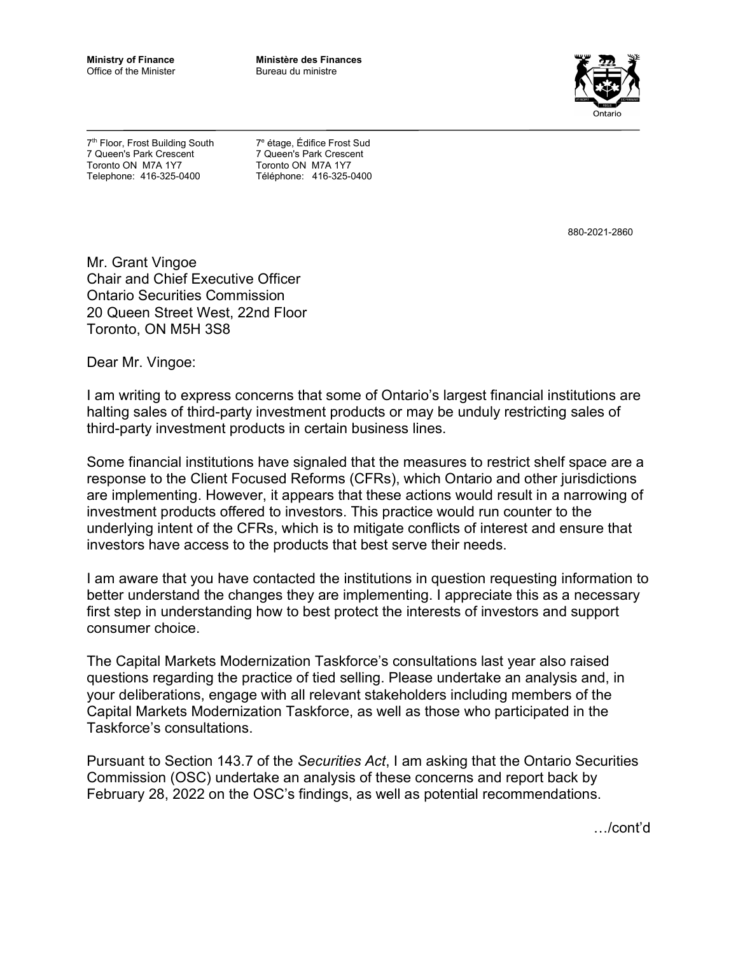**Ministry of Finance** Office of the Minister

**Ministère des Finances**  Bureau du ministre



7<sup>th</sup> Floor, Frost Building South 7 Queen's Park Crescent Toronto ON M7A 1Y7 Telephone: 416-325-0400

7e étage, Édifice Frost Sud 7 Queen's Park Crescent Toronto ON M7A 1Y7 Téléphone: 416-325-0400

880-2021-2860

Mr. Grant Vingoe Chair and Chief Executive Officer Ontario Securities Commission 20 Queen Street West, 22nd Floor Toronto, ON M5H 3S8

Dear Mr. Vingoe:

I am writing to express concerns that some of Ontario's largest financial institutions are halting sales of third-party investment products or may be unduly restricting sales of third-party investment products in certain business lines.

Some financial institutions have signaled that the measures to restrict shelf space are a response to the Client Focused Reforms (CFRs), which Ontario and other jurisdictions are implementing. However, it appears that these actions would result in a narrowing of investment products offered to investors. This practice would run counter to the underlying intent of the CFRs, which is to mitigate conflicts of interest and ensure that investors have access to the products that best serve their needs.

I am aware that you have contacted the institutions in question requesting information to better understand the changes they are implementing. I appreciate this as a necessary first step in understanding how to best protect the interests of investors and support consumer choice.

The Capital Markets Modernization Taskforce's consultations last year also raised questions regarding the practice of tied selling. Please undertake an analysis and, in your deliberations, engage with all relevant stakeholders including members of the Capital Markets Modernization Taskforce, as well as those who participated in the Taskforce's consultations.

Pursuant to Section 143.7 of the *Securities Act*, I am asking that the Ontario Securities Commission (OSC) undertake an analysis of these concerns and report back by February 28, 2022 on the OSC's findings, as well as potential recommendations.

…/cont'd